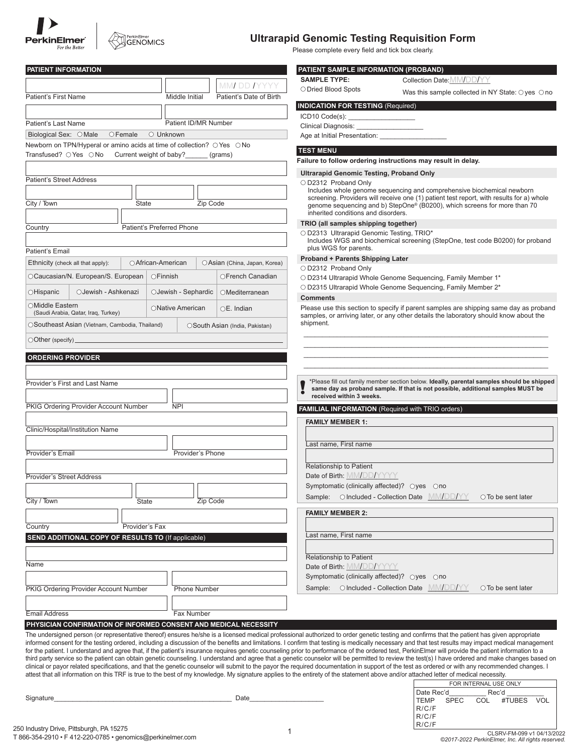



# **Ultrarapid Genomic Testing Requisition Form**

Please complete every field and tick box clearly.

| <b>PATIENT INFORMATION</b>                                                                                                                                                            |                      |                                | PATIENT SAMPLE INFORMATION (PROBAND)                                    |                                                                                                                                                                                                                                                                                                                                                                                                         |
|---------------------------------------------------------------------------------------------------------------------------------------------------------------------------------------|----------------------|--------------------------------|-------------------------------------------------------------------------|---------------------------------------------------------------------------------------------------------------------------------------------------------------------------------------------------------------------------------------------------------------------------------------------------------------------------------------------------------------------------------------------------------|
|                                                                                                                                                                                       |                      | MMI DD IYYYY                   | <b>SAMPLE TYPE:</b>                                                     | Collection Date: MM/DD/YY                                                                                                                                                                                                                                                                                                                                                                               |
| Patient's First Name                                                                                                                                                                  | Middle Initial       | Patient's Date of Birth        | O Dried Blood Spots                                                     | Was this sample collected in NY State: $\bigcirc$ yes $\bigcirc$ no                                                                                                                                                                                                                                                                                                                                     |
|                                                                                                                                                                                       |                      |                                | <b>INDICATION FOR TESTING (Required)</b>                                |                                                                                                                                                                                                                                                                                                                                                                                                         |
| Patient's Last Name                                                                                                                                                                   | Patient ID/MR Number |                                | ICD10 Code(s): _____________________                                    |                                                                                                                                                                                                                                                                                                                                                                                                         |
| Biological Sex: O Male<br>$\circ$ Female                                                                                                                                              | ○ Unknown            |                                | Age at Initial Presentation: _______________                            |                                                                                                                                                                                                                                                                                                                                                                                                         |
| Newborn on TPN/Hyperal or amino acids at time of collection? O Yes O No                                                                                                               |                      |                                |                                                                         |                                                                                                                                                                                                                                                                                                                                                                                                         |
| Transfused? ○ Yes ○ No<br>Current weight of baby?                                                                                                                                     |                      | (grams)                        | <b>TEST MENU</b>                                                        |                                                                                                                                                                                                                                                                                                                                                                                                         |
|                                                                                                                                                                                       |                      |                                |                                                                         | Failure to follow ordering instructions may result in delay.                                                                                                                                                                                                                                                                                                                                            |
| <b>Patient's Street Address</b>                                                                                                                                                       |                      |                                | <b>Ultrarapid Genomic Testing, Proband Only</b><br>○ D2312 Proband Only |                                                                                                                                                                                                                                                                                                                                                                                                         |
|                                                                                                                                                                                       |                      |                                |                                                                         | Includes whole genome sequencing and comprehensive biochemical newborn                                                                                                                                                                                                                                                                                                                                  |
| City / Town<br>State                                                                                                                                                                  |                      | Zip Code                       |                                                                         | screening. Providers will receive one (1) patient test report, with results for a) whole<br>genome sequencing and b) StepOne® (B0200), which screens for more than 70                                                                                                                                                                                                                                   |
|                                                                                                                                                                                       |                      |                                | inherited conditions and disorders.                                     |                                                                                                                                                                                                                                                                                                                                                                                                         |
| Patient's Preferred Phone<br>Country                                                                                                                                                  |                      |                                | TRIO (all samples shipping together)                                    |                                                                                                                                                                                                                                                                                                                                                                                                         |
|                                                                                                                                                                                       |                      |                                | O D2313 Ultrarapid Genomic Testing, TRIO*                               | Includes WGS and biochemical screening (StepOne, test code B0200) for proband                                                                                                                                                                                                                                                                                                                           |
| Patient's Email                                                                                                                                                                       |                      |                                | plus WGS for parents.                                                   |                                                                                                                                                                                                                                                                                                                                                                                                         |
| ○ African-American<br>Ethnicity (check all that apply):                                                                                                                               |                      | ○ Asian (China, Japan, Korea)  | <b>Proband + Parents Shipping Later</b>                                 |                                                                                                                                                                                                                                                                                                                                                                                                         |
| OCaucasian/N. European/S. European                                                                                                                                                    | OFinnish             | OFrench Canadian               | ○ D2312 Proband Only                                                    | O D2314 Ultrarapid Whole Genome Sequencing, Family Member 1*                                                                                                                                                                                                                                                                                                                                            |
|                                                                                                                                                                                       |                      |                                |                                                                         | O D2315 Ultrarapid Whole Genome Sequencing, Family Member 2*                                                                                                                                                                                                                                                                                                                                            |
| OHispanic<br>OJewish - Ashkenazi                                                                                                                                                      | OJewish - Sephardic  | OMediterranean                 | <b>Comments</b>                                                         |                                                                                                                                                                                                                                                                                                                                                                                                         |
| ○Middle Eastern<br>(Saudi Arabia, Qatar, Iraq, Turkey)                                                                                                                                | ONative American     | $OE.$ Indian                   |                                                                         | Please use this section to specify if parent samples are shipping same day as proband                                                                                                                                                                                                                                                                                                                   |
| OSoutheast Asian (Vietnam, Cambodia, Thailand)                                                                                                                                        |                      | OSouth Asian (India, Pakistan) | shipment.                                                               | samples, or arriving later, or any other details the laboratory should know about the                                                                                                                                                                                                                                                                                                                   |
|                                                                                                                                                                                       |                      |                                |                                                                         |                                                                                                                                                                                                                                                                                                                                                                                                         |
| $\bigcirc$ Other (specify) $\overline{\phantom{a}}$                                                                                                                                   |                      |                                |                                                                         |                                                                                                                                                                                                                                                                                                                                                                                                         |
| <b>ORDERING PROVIDER</b>                                                                                                                                                              |                      |                                |                                                                         |                                                                                                                                                                                                                                                                                                                                                                                                         |
|                                                                                                                                                                                       |                      |                                |                                                                         |                                                                                                                                                                                                                                                                                                                                                                                                         |
| Provider's First and Last Name                                                                                                                                                        |                      |                                |                                                                         | *Please fill out family member section below. Ideally, parental samples should be shipped                                                                                                                                                                                                                                                                                                               |
|                                                                                                                                                                                       |                      |                                | received within 3 weeks.                                                | same day as proband sample. If that is not possible, additional samples MUST be                                                                                                                                                                                                                                                                                                                         |
| PKIG Ordering Provider Account Number                                                                                                                                                 | <b>NPI</b>           |                                |                                                                         |                                                                                                                                                                                                                                                                                                                                                                                                         |
|                                                                                                                                                                                       |                      |                                | <b>FAMILIAL INFORMATION</b> (Required with TRIO orders)                 |                                                                                                                                                                                                                                                                                                                                                                                                         |
| Clinic/Hospital/Institution Name                                                                                                                                                      |                      |                                | <b>FAMILY MEMBER 1:</b>                                                 |                                                                                                                                                                                                                                                                                                                                                                                                         |
|                                                                                                                                                                                       |                      |                                | Last name, First name                                                   |                                                                                                                                                                                                                                                                                                                                                                                                         |
| Provider's Email                                                                                                                                                                      | Provider's Phone     |                                |                                                                         |                                                                                                                                                                                                                                                                                                                                                                                                         |
|                                                                                                                                                                                       |                      |                                | Relationship to Patient                                                 |                                                                                                                                                                                                                                                                                                                                                                                                         |
| <b>Provider's Street Address</b>                                                                                                                                                      |                      |                                | Date of Birth: MM/DD/YYYY                                               |                                                                                                                                                                                                                                                                                                                                                                                                         |
|                                                                                                                                                                                       |                      |                                | Symptomatic (clinically affected)? ○yes ○no                             |                                                                                                                                                                                                                                                                                                                                                                                                         |
| City / Town<br>State                                                                                                                                                                  |                      | Zip Code                       | Sample: O Included - Collection Date MM/DD/YY                           | ○ To be sent later                                                                                                                                                                                                                                                                                                                                                                                      |
|                                                                                                                                                                                       |                      |                                | <b>FAMILY MEMBER 2:</b>                                                 |                                                                                                                                                                                                                                                                                                                                                                                                         |
| Provider's Fax<br>Country                                                                                                                                                             |                      |                                |                                                                         |                                                                                                                                                                                                                                                                                                                                                                                                         |
| SEND ADDITIONAL COPY OF RESULTS TO (If applicable)                                                                                                                                    |                      |                                | Last name, First name                                                   |                                                                                                                                                                                                                                                                                                                                                                                                         |
|                                                                                                                                                                                       |                      |                                |                                                                         |                                                                                                                                                                                                                                                                                                                                                                                                         |
|                                                                                                                                                                                       |                      |                                | Relationship to Patient                                                 |                                                                                                                                                                                                                                                                                                                                                                                                         |
| Name                                                                                                                                                                                  |                      |                                | Date of Birth: MM/DD/YYYY                                               |                                                                                                                                                                                                                                                                                                                                                                                                         |
|                                                                                                                                                                                       |                      |                                | Symptomatic (clinically affected)? Oves Ono                             |                                                                                                                                                                                                                                                                                                                                                                                                         |
| PKIG Ordering Provider Account Number                                                                                                                                                 | Phone Number         |                                | Sample: OIncluded - Collection Date MM/DD/YY                            | $\circ$ To be sent later                                                                                                                                                                                                                                                                                                                                                                                |
|                                                                                                                                                                                       |                      |                                |                                                                         |                                                                                                                                                                                                                                                                                                                                                                                                         |
| <b>Email Address</b>                                                                                                                                                                  | Fax Number           |                                |                                                                         |                                                                                                                                                                                                                                                                                                                                                                                                         |
| PHYSICIAN CONFIRMATION OF INFORMED CONSENT AND MEDICAL NECESSITY                                                                                                                      |                      |                                |                                                                         |                                                                                                                                                                                                                                                                                                                                                                                                         |
|                                                                                                                                                                                       |                      |                                |                                                                         | The undersigned person (or representative thereof) ensures he/she is a licensed medical professional authorized to order genetic testing and confirms that the patient has given appropriate<br>informed consent for the testing ordered, including a discussion of the benefits and limitations. I confirm that testing is medically necessary and that test results may impact medical management     |
|                                                                                                                                                                                       |                      |                                |                                                                         | for the patient. I understand and agree that, if the patient's insurance requires genetic counseling prior to performance of the ordered test, PerkinElmer will provide the patient information to a                                                                                                                                                                                                    |
|                                                                                                                                                                                       |                      |                                |                                                                         | third party service so the patient can obtain genetic counseling. I understand and agree that a genetic counselor will be permitted to review the test(s) I have ordered and make changes based on<br>clinical or payor related specifications, and that the genetic counselor will submit to the payor the required documentation in support of the test as ordered or with any recommended changes. I |
| attest that all information on this TRF is true to the best of my knowledge. My signature applies to the entirety of the statement above and/or attached letter of medical necessity. |                      |                                |                                                                         |                                                                                                                                                                                                                                                                                                                                                                                                         |
|                                                                                                                                                                                       |                      |                                |                                                                         | FOR INTERNAL USE ONLY<br>Date Rec'd<br>Rec'd                                                                                                                                                                                                                                                                                                                                                            |
| Signature                                                                                                                                                                             |                      | Date                           |                                                                         | #TUBES VOL<br>SPEC<br>COL<br>TEMP                                                                                                                                                                                                                                                                                                                                                                       |
|                                                                                                                                                                                       |                      |                                |                                                                         |                                                                                                                                                                                                                                                                                                                                                                                                         |
|                                                                                                                                                                                       |                      |                                |                                                                         | R/C/F<br>R/C/F                                                                                                                                                                                                                                                                                                                                                                                          |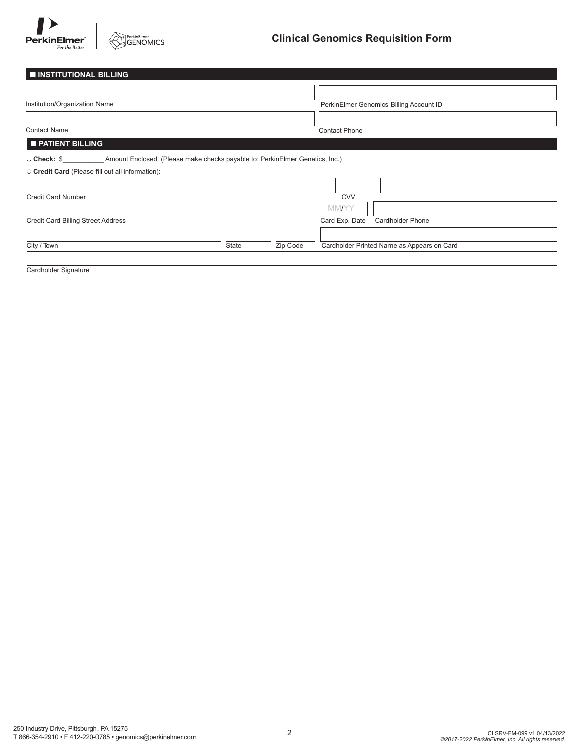

| <b>INSTITUTIONAL BILLING</b>                                                               |       |          |                                            |
|--------------------------------------------------------------------------------------------|-------|----------|--------------------------------------------|
|                                                                                            |       |          |                                            |
| Institution/Organization Name                                                              |       |          | PerkinElmer Genomics Billing Account ID    |
|                                                                                            |       |          |                                            |
| <b>Contact Name</b>                                                                        |       |          | <b>Contact Phone</b>                       |
| <b>PATIENT BILLING</b>                                                                     |       |          |                                            |
| Amount Enclosed (Please make checks payable to: PerkinElmer Genetics, Inc.)<br>○ Check: \$ |       |          |                                            |
| O Credit Card (Please fill out all information):                                           |       |          |                                            |
|                                                                                            |       |          |                                            |
| <b>Credit Card Number</b>                                                                  |       |          | <b>CVV</b>                                 |
|                                                                                            |       |          | <b>MMAYY</b>                               |
| <b>Credit Card Billing Street Address</b>                                                  |       |          | Card Exp. Date<br>Cardholder Phone         |
|                                                                                            |       |          |                                            |
| City / Town                                                                                | State | Zip Code | Cardholder Printed Name as Appears on Card |

Cardholder Signature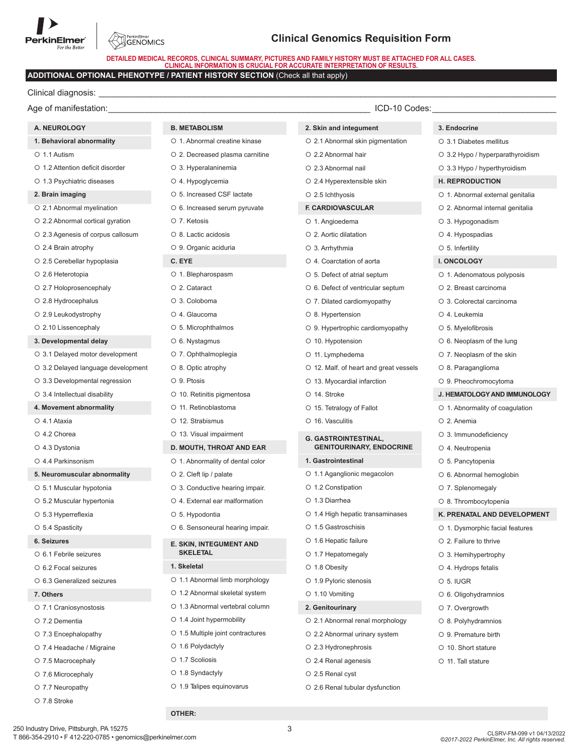

PerkinElmer<br>GENOMICS

**DETAILED MEDICAL RECORDS, CLINICAL SUMMARY, PICTURES AND FAMILY HISTORY MUST BE ATTACHED FOR ALL CASES. CLINICAL INFORMATION IS CRUCIAL FOR ACCURATE INTERPRETATION OF RESULTS.**

# **ADDITIONAL OPTIONAL PHENOTYPE / PATIENT HISTORY SECTION** (Check all that apply)

Clinical diagnosis:

Age of manifestation: example of manifestation: example of manifestation: example of manifestation: example of  $\sim$ 

# **A. NEUROLOGY**

| 1. Behavioral abnormality |  |
|---------------------------|--|
|---------------------------|--|

- $0.11$  Autism
- 1.2 Attention deficit disorder
- O 1.3 Psychiatric diseases

#### **2. Brain imaging**

- 2.1 Abnormal myelination
- 2.2 Abnormal cortical gyration
- 2.3 Agenesis of corpus callosum
- 2.4 Brain atrophy
- 2.5 Cerebellar hypoplasia
- 2.6 Heterotopia
- 2.7 Holoprosencephaly
- 2.8 Hydrocephalus
- 2.9 Leukodystrophy
- 2.10 Lissencephaly

#### **3. Developmental delay**

- 3.1 Delayed motor development
- 3.2 Delayed language development
- 3.3 Developmental regression
- 3.4 Intellectual disability
- **4. Movement abnormality**
- 4.1 Ataxia
- 4.2 Chorea
- 4.3 Dystonia
- 4.4 Parkinsonism
- **5. Neuromuscular abnormality**
- 5.1 Muscular hypotonia
- 5.2 Muscular hypertonia
- 5.3 Hyperreflexia
- 5.4 Spasticity

#### **6. Seizures**

- 6.1 Febrile seizures
- 6.2 Focal seizures
- 6.3 Generalized seizures
- **7. Others**
- 7.1 Craniosynostosis
- 7.2 Dementia
- 7.3 Encephalopathy
- 7.4 Headache / Migraine
- O 7.5 Macrocephaly
- 7.6 Microcephaly
- 7.7 Neuropathy

250 Industry Drive, Pittsburgh, PA 15275

O 7.8 Stroke

# **B. METABOLISM**

- O 1. Abnormal creatine kinase
- 2. Decreased plasma carnitine
- 3. Hyperalaninemia 4. Hypoglycemia
- 5. Increased CSF lactate
- 6. Increased serum pyruvate
- 7. Ketosis
- O 8. Lactic acidosis
- 9. Organic aciduria
- **C. EYE**
- O 1. Blepharospasm
- O<sub>2</sub>. Cataract
- 3. Coloboma
- 4. Glaucoma
- 5. Microphthalmos
- 6. Nystagmus
- 7. Ophthalmoplegia
- O 8. Optic atrophy
- O. 9 Ptosis
- 10. Retinitis pigmentosa
- O 11. Retinoblastoma
- O 12 Strabismus
- 13. Visual impairment

# **D. MOUTH, THROAT AND EAR**

- 1. Abnormality of dental color
- 2. Cleft lip / palate
- 3. Conductive hearing impair.
- 4. External ear malformation
- 5. Hypodontia
- 6. Sensoneural hearing impair.

#### **E. SKIN, INTEGUMENT AND SKELETAL**

- **1. Skeletal**
	-
- 1.1 Abnormal limb morphology
- 1.2 Abnormal skeletal system
- 1.3 Abnormal vertebral column
- 1.4 Joint hypermobility
- O 1.5 Multiple joint contractures

T 866-354-2910 • F 412-220-0785 • genomics@perkinelmer.com CLSRV-FM-099 v1 04/13/2022

3

*©2017-2022 PerkinElmer, Inc. All rights reserved.*

- O 1.6 Polydactyly
- O 1.7 Scoliosis
- O 1.8 Syndactyly

**OTHER:**

O 1.9 Talipes equinovarus

**3. Endocrine**

3.1 Diabetes mellitus

 3. Hypogonadism 4. Hypospadias 5. Infertility **I. ONCOLOGY**

 4. Leukemia 5. Myelofibrosis 6. Neoplasm of the lung O 7. Neoplasm of the skin O 8. Paraganglioma 9. Pheochromocytoma

 $O<sub>2</sub>$  Anemia

 3. Immunodeficiency 4. Neutropenia O 5. Pancytopenia 6. Abnormal hemoglobin 7. Splenomegaly O 8. Thrombocytopenia

 2. Failure to thrive 3. Hemihypertrophy 4. Hydrops fetalis  $0.5$  IUGR

 6. Oligohydramnios O 7. Overgrowth O 8. Polyhydramnios 9. Premature birth O 10. Short stature O 11. Tall stature

 3.2 Hypo / hyperparathyroidism 3.3 Hypo / hyperthyroidism **H. REPRODUCTION**

O 1. Abnormal external genitalia 2. Abnormal internal genitalia

O 1. Adenomatous polyposis 2. Breast carcinoma 3. Colorectal carcinoma

**J. HEMATOLOGY AND IMMUNOLOGY**  1. Abnormality of coagulation

**K. PRENATAL AND DEVELOPMENT**  1. Dysmorphic facial features

- **2. Skin and integument**
- 2.1 Abnormal skin pigmentation
- 2.2 Abnormal hair
- 2.3 Abnormal nail
- 2.4 Hyperextensible skin

**F. CARDIOVASCULAR** O 1. Angioedema 2. Aortic dilatation 3. Arrhythmia 4. Coarctation of aorta 5. Defect of atrial septum O 6. Defect of ventricular septum 7. Dilated cardiomyopathy

O 8. Hypertension

O 10. Hypotension O 11. Lymphedema

O 14. Stroke

9. Hypertrophic cardiomyopathy

O 12. Malf. of heart and great vessels

**GENITOURINARY, ENDOCRINE**

13. Myocardial infarction

O 15. Tetralogy of Fallot 16. Vasculitis

**G. GASTROINTESTINAL,**

1.1 Aganglionic megacolon

1.4 High hepatic transaminases

 2.1 Abnormal renal morphology 2.2 Abnormal urinary system

2.6 Renal tubular dysfunction

 2.3 Hydronephrosis O 2.4 Renal agenesis 2.5 Renal cyst

**1. Gastrointestinal**

O 1.2 Constipation O 1.3 Diarrhea

O 1.5 Gastroschisis O 1.6 Hepatic failure 1.7 Hepatomegaly O 1.8 Obesity O 1.9 Pyloric stenosis O 1.10 Vomiting **2. Genitourinary**

 $O$  2.5 Ichthyosis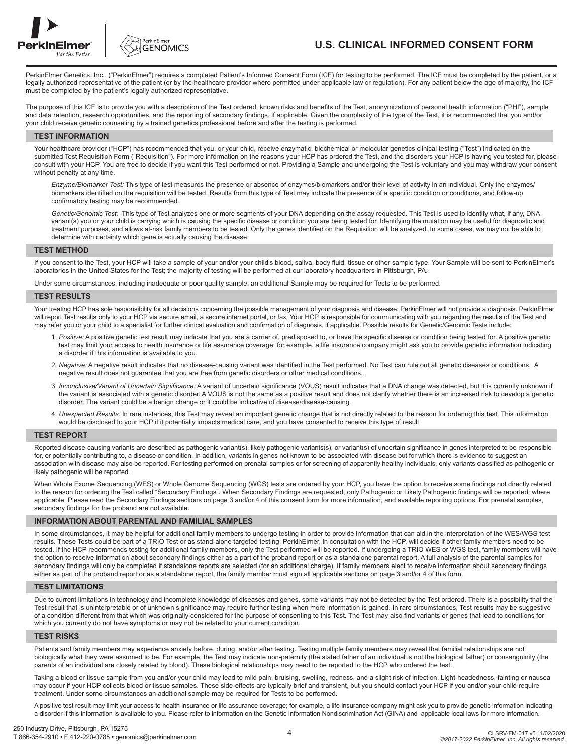



# **U.S. CLINICAL INFORMED CONSENT FORM**

PerkinElmer Genetics, Inc., ("PerkinElmer") requires a completed Patient's Informed Consent Form (ICF) for testing to be performed. The ICF must be completed by the patient, or a legally authorized representative of the patient (or by the healthcare provider where permitted under applicable law or regulation). For any patient below the age of majority, the ICF must be completed by the patient's legally authorized representative.

The purpose of this ICF is to provide you with a description of the Test ordered, known risks and benefits of the Test, anonymization of personal health information ("PHI"), sample and data retention, research opportunities, and the reporting of secondary findings, if applicable. Given the complexity of the type of the Test, it is recommended that you and/or your child receive genetic counseling by a trained genetics professional before and after the testing is performed.

#### **TEST INFORMATION**

Your healthcare provider ("HCP") has recommended that you, or your child, receive enzymatic, biochemical or molecular genetics clinical testing ("Test") indicated on the submitted Test Requisition Form ("Requisition"). For more information on the reasons your HCP has ordered the Test, and the disorders your HCP is having you tested for, please consult with your HCP. You are free to decide if you want this Test performed or not. Providing a Sample and undergoing the Test is voluntary and you may withdraw your consent without penalty at any time.

 *Enzyme/Biomarker Test:* This type of test measures the presence or absence of enzymes/biomarkers and/or their level of activity in an individual. Only the enzymes/ biomarkers identified on the requisition will be tested. Results from this type of Test may indicate the presence of a specific condition or conditions, and follow-up confirmatory testing may be recommended.

 *Genetic/Genomic Test:* This type of Test analyzes one or more segments of your DNA depending on the assay requested. This Test is used to identify what, if any, DNA variant(s) you or your child is carrying which is causing the specific disease or condition you are being tested for. Identifying the mutation may be useful for diagnostic and treatment purposes, and allows at-risk family members to be tested. Only the genes identified on the Requisition will be analyzed. In some cases, we may not be able to determine with certainty which gene is actually causing the disease.

## **TEST METHOD**

If you consent to the Test, your HCP will take a sample of your and/or your child's blood, saliva, body fluid, tissue or other sample type. Your Sample will be sent to PerkinElmer's laboratories in the United States for the Test; the majority of testing will be performed at our laboratory headquarters in Pittsburgh, PA.

Under some circumstances, including inadequate or poor quality sample, an additional Sample may be required for Tests to be performed.

#### **TEST RESULTS**

Your treating HCP has sole responsibility for all decisions concerning the possible management of your diagnosis and disease; PerkinElmer will not provide a diagnosis. PerkinElmer will report Test results only to your HCP via secure email, a secure internet portal, or fax. Your HCP is responsible for communicating with you regarding the results of the Test and may refer you or your child to a specialist for further clinical evaluation and confirmation of diagnosis, if applicable. Possible results for Genetic/Genomic Tests include:

- 1. *Positive:* A positive genetic test result may indicate that you are a carrier of, predisposed to, or have the specific disease or condition being tested for. A positive genetic test may limit your access to health insurance or life assurance coverage; for example, a life insurance company might ask you to provide genetic information indicating a disorder if this information is available to you.
- 2. *Negative:* A negative result indicates that no disease-causing variant was identified in the Test performed. No Test can rule out all genetic diseases or conditions. A negative result does not guarantee that you are free from genetic disorders or other medical conditions.
- 3. *Inconclusive/Variant of Uncertain Significance:* A variant of uncertain significance (VOUS) result indicates that a DNA change was detected, but it is currently unknown if the variant is associated with a genetic disorder. A VOUS is not the same as a positive result and does not clarify whether there is an increased risk to develop a genetic disorder. The variant could be a benign change or it could be indicative of disease/disease-causing.
- 4. *Unexpected Results:* In rare instances, this Test may reveal an important genetic change that is not directly related to the reason for ordering this test. This information would be disclosed to your HCP if it potentially impacts medical care, and you have consented to receive this type of result

#### **TEST REPORT**

Reported disease-causing variants are described as pathogenic variant(s), likely pathogenic variants(s), or variant(s) of uncertain significance in genes interpreted to be responsible for, or potentially contributing to, a disease or condition. In addition, variants in genes not known to be associated with disease but for which there is evidence to suggest an association with disease may also be reported. For testing performed on prenatal samples or for screening of apparently healthy individuals, only variants classified as pathogenic or likely pathogenic will be reported.

When Whole Exome Sequencing (WES) or Whole Genome Sequencing (WGS) tests are ordered by your HCP, you have the option to receive some findings not directly related to the reason for ordering the Test called "Secondary Findings". When Secondary Findings are requested, only Pathogenic or Likely Pathogenic findings will be reported, where applicable. Please read the Secondary Findings sections on page 3 and/or 4 of this consent form for more information, and available reporting options. For prenatal samples, secondary findings for the proband are not available.

## **INFORMATION ABOUT PARENTAL AND FAMILIAL SAMPLES**

In some circumstances, it may be helpful for additional family members to undergo testing in order to provide information that can aid in the interpretation of the WES/WGS test results. These Tests could be part of a TRIO Test or as stand-alone targeted testing. PerkinElmer, in consultation with the HCP, will decide if other family members need to be tested. If the HCP recommends testing for additional family members, only the Test performed will be reported. If undergoing a TRIO WES or WGS test, family members will have the option to receive information about secondary findings either as a part of the proband report or as a standalone parental report. A full analysis of the parental samples for secondary findings will only be completed if standalone reports are selected (for an additional charge). If family members elect to receive information about secondary findings either as part of the proband report or as a standalone report, the family member must sign all applicable sections on page 3 and/or 4 of this form.

#### **TEST LIMITATIONS**

Due to current limitations in technology and incomplete knowledge of diseases and genes, some variants may not be detected by the Test ordered. There is a possibility that the Test result that is uninterpretable or of unknown significance may require further testing when more information is gained. In rare circumstances, Test results may be suggestive of a condition different from that which was originally considered for the purpose of consenting to this Test. The Test may also find variants or genes that lead to conditions for which you currently do not have symptoms or may not be related to your current condition.

#### **TEST RISKS**

Patients and family members may experience anxiety before, during, and/or after testing. Testing multiple family members may reveal that familial relationships are not biologically what they were assumed to be. For example, the Test may indicate non-paternity (the stated father of an individual is not the biological father) or consanguinity (the parents of an individual are closely related by blood). These biological relationships may need to be reported to the HCP who ordered the test.

Taking a blood or tissue sample from you and/or your child may lead to mild pain, bruising, swelling, redness, and a slight risk of infection. Light-headedness, fainting or nausea may occur if your HCP collects blood or tissue samples. These side-effects are typically brief and transient, but you should contact your HCP if you and/or your child require treatment. Under some circumstances an additional sample may be required for Tests to be performed.

A positive test result may limit your access to health insurance or life assurance coverage; for example, a life insurance company might ask you to provide genetic information indicating a disorder if this information is available to you. Please refer to information on the Genetic Information Nondiscrimination Act (GINA) and applicable local laws for more information.